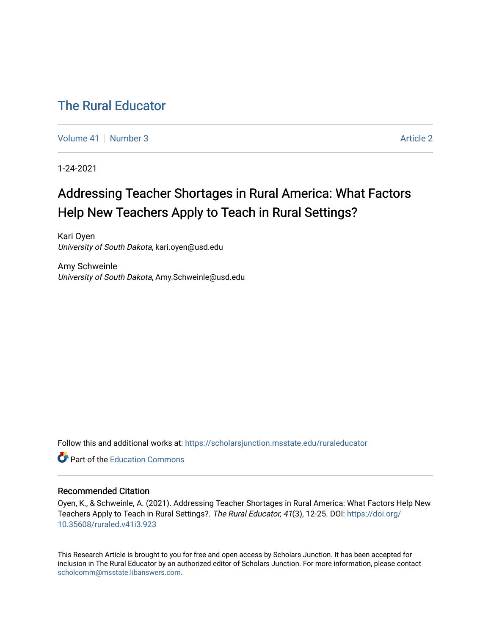# [The Rural Educator](https://scholarsjunction.msstate.edu/ruraleducator)

[Volume 41](https://scholarsjunction.msstate.edu/ruraleducator/vol41) | [Number 3](https://scholarsjunction.msstate.edu/ruraleducator/vol41/iss3) Article 2

1-24-2021

# Addressing Teacher Shortages in Rural America: What Factors Help New Teachers Apply to Teach in Rural Settings?

Kari Oyen University of South Dakota, kari.oyen@usd.edu

Amy Schweinle University of South Dakota, Amy.Schweinle@usd.edu

Follow this and additional works at: [https://scholarsjunction.msstate.edu/ruraleducator](https://scholarsjunction.msstate.edu/ruraleducator?utm_source=scholarsjunction.msstate.edu%2Fruraleducator%2Fvol41%2Fiss3%2F2&utm_medium=PDF&utm_campaign=PDFCoverPages)

**C** Part of the [Education Commons](http://network.bepress.com/hgg/discipline/784?utm_source=scholarsjunction.msstate.edu%2Fruraleducator%2Fvol41%2Fiss3%2F2&utm_medium=PDF&utm_campaign=PDFCoverPages)

## Recommended Citation

Oyen, K., & Schweinle, A. (2021). Addressing Teacher Shortages in Rural America: What Factors Help New Teachers Apply to Teach in Rural Settings?. The Rural Educator, 41(3), 12-25. DOI: [https://doi.org/](https://doi.org/10.35608/ruraled.v41i3.923) [10.35608/ruraled.v41i3.923](https://doi.org/10.35608/ruraled.v41i3.923)

This Research Article is brought to you for free and open access by Scholars Junction. It has been accepted for inclusion in The Rural Educator by an authorized editor of Scholars Junction. For more information, please contact [scholcomm@msstate.libanswers.com.](mailto:scholcomm@msstate.libanswers.com)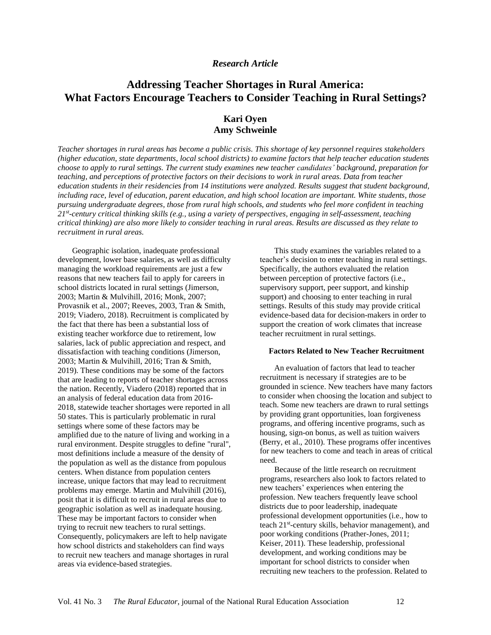## *Research Article*

# **Addressing Teacher Shortages in Rural America: What Factors Encourage Teachers to Consider Teaching in Rural Settings?**

# **Kari Oyen Amy Schweinle**

Teacher shortages in rural areas has become a public crisis. This shortage of key personnel requires stakeholders *(higher education, state departments, local school districts) to examine factors that help teacher education students* choose to apply to rural settings. The current study examines new teacher candidates' background, preparation for teaching, and perceptions of protective factors on their decisions to work in rural areas. Data from teacher *education students in their residencies from 14 institutions were analyzed. Results suggest that student background,* including race, level of education, parent education, and high school location are important. White students, those *pursuing undergraduate degrees, those from rural high schools, and students who feel more confident in teaching* 21st-century critical thinking skills (e.g., using a variety of perspectives, engaging in self-assessment, teaching critical thinking) are also more likely to consider teaching in rural areas. Results are discussed as they relate to *recruitment in rural areas.*

Geographic isolation, inadequate professional development, lower base salaries, as well as difficulty managing the workload requirements are just a few reasons that new teachers fail to apply for careers in school districts located in rural settings (Jimerson, 2003; Martin & Mulvihill, 2016; Monk, 2007; Provasnik et al., 2007; Reeves, 2003, Tran & Smith, 2019; Viadero, 2018). Recruitment is complicated by the fact that there has been a substantial loss of existing teacher workforce due to retirement, low salaries, lack of public appreciation and respect, and dissatisfaction with teaching conditions (Jimerson, 2003; Martin & Mulvihill, 2016; Tran & Smith, 2019). These conditions may be some of the factors that are leading to reports of teacher shortages across the nation. Recently, Viadero (2018) reported that in an analysis of federal education data from 2016- 2018, statewide teacher shortages were reported in all 50 states. This is particularly problematic in rural settings where some of these factors may be amplified due to the nature of living and working in a rural environment. Despite struggles to define "rural", most definitions include a measure of the density of the population as well as the distance from populous centers. When distance from population centers increase, unique factors that may lead to recruitment problems may emerge. Martin and Mulvihill (2016), posit that it is difficult to recruit in rural areas due to geographic isolation as well as inadequate housing. These may be important factors to consider when trying to recruit new teachers to rural settings. Consequently, policymakers are left to help navigate how school districts and stakeholders can find ways to recruit new teachers and manage shortages in rural areas via evidence-based strategies.

This study examines the variables related to a teacher's decision to enter teaching in rural settings. Specifically, the authors evaluated the relation between perception of protective factors (i.e., supervisory support, peer support, and kinship support) and choosing to enter teaching in rural settings. Results of this study may provide critical evidence-based data for decision-makers in order to support the creation of work climates that increase teacher recruitment in rural settings.

#### **Factors Related to New Teacher Recruitment**

An evaluation of factors that lead to teacher recruitment is necessary if strategies are to be grounded in science. New teachers have many factors to consider when choosing the location and subject to teach. Some new teachers are drawn to rural settings by providing grant opportunities, loan forgiveness programs, and offering incentive programs, such as housing, sign-on bonus, as well as tuition waivers (Berry, et al., 2010). These programs offer incentives for new teachers to come and teach in areas of critical need.

Because of the little research on recruitment programs, researchers also look to factors related to new teachers' experiences when entering the profession. New teachers frequently leave school districts due to poor leadership, inadequate professional development opportunities (i.e., how to teach 21<sup>st</sup>-century skills, behavior management), and poor working conditions (Prather-Jones, 2011; Keiser, 2011). These leadership, professional development, and working conditions may be important for school districts to consider when recruiting new teachers to the profession. Related to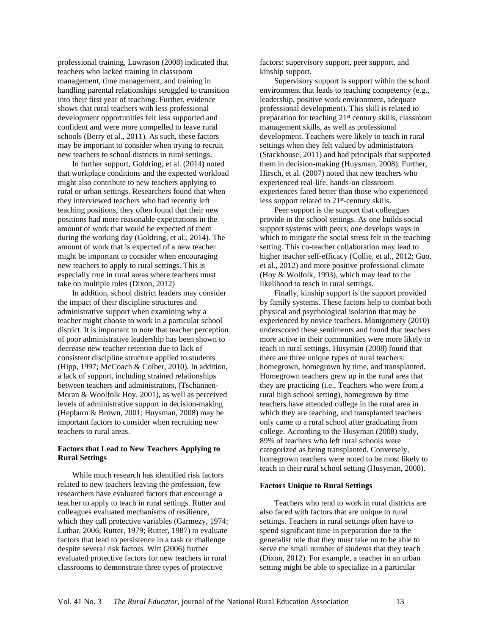professional training, Lawrason (2008) indicated that teachers who lacked training in classroom management, time management, and training in handling parental relationships struggled to transition into their first year of teaching. Further, evidence shows that rural teachers with less professional development opportunities felt less supported and confident and were more compelled to leave rural schools (Berry et al., 2011). As such, these factors may be important to consider when trying to recruit new teachers to school districts in rural settings.

In further support, Goldring, et al. (2014) noted that workplace conditions and the expected workload might also contribute to new teachers applying to rural or urban settings. Researchers found that when they interviewed teachers who had recently left teaching positions, they often found that their new positions had more reasonable expectations in the amount of work that would be expected of them during the working day (Goldring, et al., 2014). The amount of work that is expected of a new teacher might be important to consider when encouraging new teachers to apply to rural settings. This is especially true in rural areas where teachers must take on multiple roles (Dixon, 2012)

In addition, school district leaders may consider the impact of their discipline structures and administrative support when examining why a teacher might choose to work in a particular school district. It is important to note that teacher perception of poor administrative leadership has been shown to decrease new teacher retention due to lack of consistent discipline structure applied to students (Hipp, 1997; McCoach & Colber, 2010). In addition, a lack of support, including strained relationships between teachers and administrators, (Tschannen-Moran & Woolfolk Hoy, 2001), as well as perceived levels of administrative support in decision-making (Hepburn & Brown, 2001; Huysman, 2008) may be important factors to consider when recruiting new teachers to rural areas.

#### **Factors that Lead to New Teachers Applying to Rural Settings**

While much research has identified risk factors related to new teachers leaving the profession, few researchers have evaluated factors that encourage a teacher to apply to teach in rural settings. Rutter and colleagues evaluated mechanisms of resilience, which they call protective variables (Garmezy, 1974; Luthar, 2006; Rutter, 1979; Rutter, 1987) to evaluate factors that lead to persistence in a task or challenge despite several risk factors. Witt (2006) further evaluated protective factors for new teachers in rural classrooms to demonstrate three types of protective

factors: supervisory support, peer support, and kinship support.

Supervisory support is support within the school environment that leads to teaching competency (e.g., leadership, positive work environment, adequate professional development). This skill is related to preparation for teaching 21st century skills, classroom management skills, as well as professional development. Teachers were likely to teach in rural settings when they felt valued by administrators (Stackhouse, 2011) and had principals that supported them in decision-making (Huysman, 2008). Further, Hirsch, et al. (2007) noted that new teachers who experienced real-life, hands-on classroom experiences fared better than those who experienced less support related to 21<sup>st</sup>-century skills.

Peer support is the support that colleagues provide in the school settings. As one builds social support systems with peers, one develops ways in which to mitigate the social stress felt in the teaching setting. This co-teacher collaboration may lead to higher teacher self-efficacy (Collie, et al., 2012; Guo, et al., 2012) and more positive professional climate (Hoy & Wolfolk, 1993), which may lead to the likelihood to teach in rural settings.

Finally, kinship support is the support provided by family systems. These factors help to combat both physical and psychological isolation that may be experienced by novice teachers. Montgomery (2010) underscored these sentiments and found that teachers more active in their communities were more likely to teach in rural settings. Husyman (2008) found that there are three unique types of rural teachers: homegrown, homegrown by time, and transplanted. Homegrown teachers grew up in the rural area that they are practicing (i.e., Teachers who were from a rural high school setting), homegrown by time teachers have attended college in the rural area in which they are teaching, and transplanted teachers only came to a rural school after graduating from college. According to the Husyman (2008) study, 89% of teachers who left rural schools were categorized as being transplanted. Conversely, homegrown teachers were noted to be most likely to teach in their rural school setting (Husyman, 2008).

#### **Factors Unique to Rural Settings**

Teachers who tend to work in rural districts are also faced with factors that are unique to rural settings. Teachers in rural settings often have to spend significant time in preparation due to the generalist role that they must take on to be able to serve the small number of students that they teach (Dixon, 2012). For example, a teacher in an urban setting might be able to specialize in a particular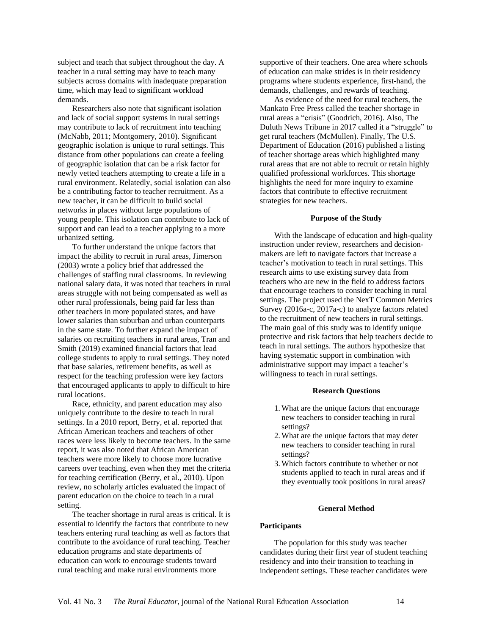subject and teach that subject throughout the day. A teacher in a rural setting may have to teach many subjects across domains with inadequate preparation time, which may lead to significant workload demands.

Researchers also note that significant isolation and lack of social support systems in rural settings may contribute to lack of recruitment into teaching (McNabb, 2011; Montgomery, 2010). Significant geographic isolation is unique to rural settings. This distance from other populations can create a feeling of geographic isolation that can be a risk factor for newly vetted teachers attempting to create a life in a rural environment. Relatedly, social isolation can also be a contributing factor to teacher recruitment. As a new teacher, it can be difficult to build social networks in places without large populations of young people. This isolation can contribute to lack of support and can lead to a teacher applying to a more urbanized setting.

To further understand the unique factors that impact the ability to recruit in rural areas, Jimerson (2003) wrote a policy brief that addressed the challenges of staffing rural classrooms. In reviewing national salary data, it was noted that teachers in rural areas struggle with not being compensated as well as other rural professionals, being paid far less than other teachers in more populated states, and have lower salaries than suburban and urban counterparts in the same state. To further expand the impact of salaries on recruiting teachers in rural areas, Tran and Smith (2019) examined financial factors that lead college students to apply to rural settings. They noted that base salaries, retirement benefits, as well as respect for the teaching profession were key factors that encouraged applicants to apply to difficult to hire rural locations.

Race, ethnicity, and parent education may also uniquely contribute to the desire to teach in rural settings. In a 2010 report, Berry, et al. reported that African American teachers and teachers of other races were less likely to become teachers. In the same report, it was also noted that African American teachers were more likely to choose more lucrative careers over teaching, even when they met the criteria for teaching certification (Berry, et al., 2010). Upon review, no scholarly articles evaluated the impact of parent education on the choice to teach in a rural setting.

The teacher shortage in rural areas is critical. It is essential to identify the factors that contribute to new teachers entering rural teaching as well as factors that contribute to the avoidance of rural teaching. Teacher education programs and state departments of education can work to encourage students toward rural teaching and make rural environments more

supportive of their teachers. One area where schools of education can make strides is in their residency programs where students experience, first-hand, the demands, challenges, and rewards of teaching.

As evidence of the need for rural teachers, the Mankato Free Press called the teacher shortage in rural areas a "crisis" (Goodrich, 2016). Also, The Duluth News Tribune in 2017 called it a "struggle" to get rural teachers (McMullen). Finally, The U.S. Department of Education (2016) published a listing of teacher shortage areas which highlighted many rural areas that are not able to recruit or retain highly qualified professional workforces. This shortage highlights the need for more inquiry to examine factors that contribute to effective recruitment strategies for new teachers.

#### **Purpose of the Study**

With the landscape of education and high-quality instruction under review, researchers and decisionmakers are left to navigate factors that increase a teacher's motivation to teach in rural settings. This research aims to use existing survey data from teachers who are new in the field to address factors that encourage teachers to consider teaching in rural settings. The project used the NexT Common Metrics Survey (2016a-c, 2017a-c) to analyze factors related to the recruitment of new teachers in rural settings. The main goal of this study was to identify unique protective and risk factors that help teachers decide to teach in rural settings. The authors hypothesize that having systematic support in combination with administrative support may impact a teacher's willingness to teach in rural settings.

#### **Research Questions**

- 1.What are the unique factors that encourage new teachers to consider teaching in rural settings?
- 2.What are the unique factors that may deter new teachers to consider teaching in rural settings?
- 3.Which factors contribute to whether or not students applied to teach in rural areas and if they eventually took positions in rural areas?

#### **General Method**

#### **Participants**

The population for this study was teacher candidates during their first year of student teaching residency and into their transition to teaching in independent settings. These teacher candidates were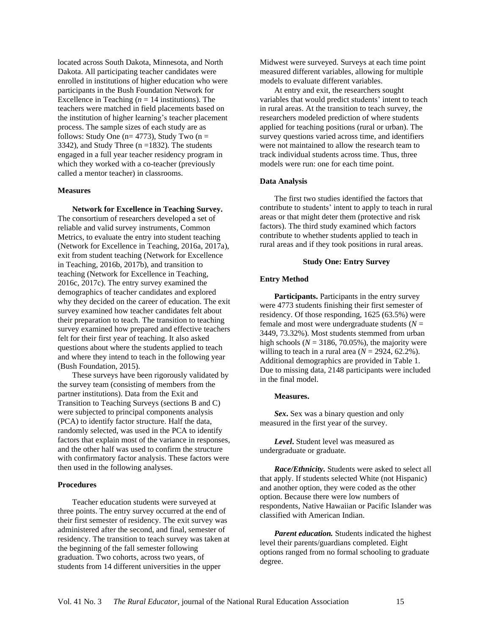located across South Dakota, Minnesota, and North Dakota. All participating teacher candidates were enrolled in institutions of higher education who were participants in the Bush Foundation Network for Excellence in Teaching  $(n = 14$  institutions). The teachers were matched in field placements based on the institution of higher learning's teacher placement process. The sample sizes of each study are as follows: Study One ( $n= 4773$ ), Study Two ( $n =$ 3342), and Study Three ( $n = 1832$ ). The students engaged in a full year teacher residency program in which they worked with a co-teacher (previously called a mentor teacher) in classrooms.

#### **Measures**

**Network for Excellence in Teaching Survey.** The consortium of researchers developed a set of reliable and valid survey instruments, Common Metrics, to evaluate the entry into student teaching (Network for Excellence in Teaching, 2016a, 2017a), exit from student teaching (Network for Excellence in Teaching, 2016b, 2017b), and transition to teaching (Network for Excellence in Teaching, 2016c, 2017c). The entry survey examined the demographics of teacher candidates and explored why they decided on the career of education. The exit survey examined how teacher candidates felt about their preparation to teach. The transition to teaching survey examined how prepared and effective teachers felt for their first year of teaching. It also asked questions about where the students applied to teach and where they intend to teach in the following year (Bush Foundation, 2015).

These surveys have been rigorously validated by the survey team (consisting of members from the partner institutions). Data from the Exit and Transition to Teaching Surveys (sections B and C) were subjected to principal components analysis (PCA) to identify factor structure. Half the data, randomly selected, was used in the PCA to identify factors that explain most of the variance in responses, and the other half was used to confirm the structure with confirmatory factor analysis. These factors were then used in the following analyses.

#### **Procedures**

Teacher education students were surveyed at three points. The entry survey occurred at the end of their first semester of residency. The exit survey was administered after the second, and final, semester of residency. The transition to teach survey was taken at the beginning of the fall semester following graduation. Two cohorts, across two years, of students from 14 different universities in the upper

Midwest were surveyed. Surveys at each time point measured different variables, allowing for multiple models to evaluate different variables.

At entry and exit, the researchers sought variables that would predict students' intent to teach in rural areas. At the transition to teach survey, the researchers modeled prediction of where students applied for teaching positions (rural or urban). The survey questions varied across time, and identifiers were not maintained to allow the research team to track individual students across time. Thus, three models were run: one for each time point.

#### **Data Analysis**

The first two studies identified the factors that contribute to students' intent to apply to teach in rural areas or that might deter them (protective and risk factors). The third study examined which factors contribute to whether students applied to teach in rural areas and if they took positions in rural areas.

#### **Study One: Entry Survey**

#### **Entry Method**

**Participants.** Participants in the entry survey were 4773 students finishing their first semester of residency. Of those responding, 1625 (63.5%) were female and most were undergraduate students  $(N =$ 3449, 73.32%). Most students stemmed from urban high schools ( $N = 3186, 70.05\%$ ), the majority were willing to teach in a rural area  $(N = 2924, 62.2\%)$ . Additional demographics are provided in Table 1. Due to missing data, 2148 participants were included in the final model.

#### **Measures.**

*Sex***.** Sex was a binary question and only measured in the first year of the survey.

*Level***.** Student level was measured as undergraduate or graduate.

*Race/Ethnicity.* Students were asked to select all that apply. If students selected White (not Hispanic) and another option, they were coded as the other option. Because there were low numbers of respondents, Native Hawaiian or Pacific Islander was classified with American Indian.

*Parent education.* Students indicated the highest level their parents/guardians completed. Eight options ranged from no formal schooling to graduate degree.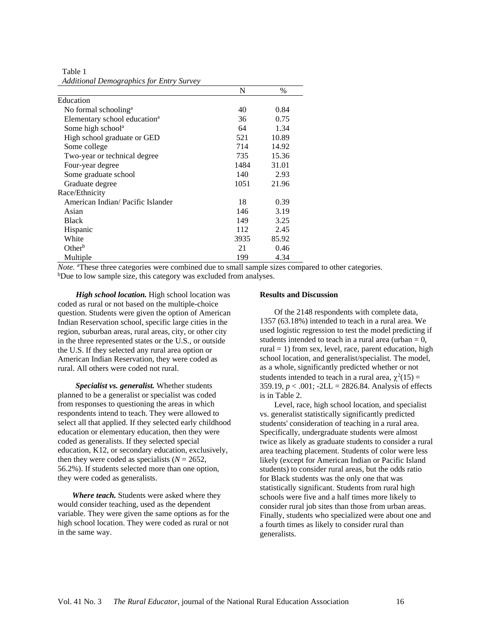Table 1 *Additional Demographics for Entry Survey*

|                                          | N    | $\%$  |
|------------------------------------------|------|-------|
| Education                                |      |       |
| No formal schooling <sup>a</sup>         | 40   | 0.84  |
| Elementary school education <sup>a</sup> | 36   | 0.75  |
| Some high school <sup>a</sup>            | 64   | 1.34  |
| High school graduate or GED              | 521  | 10.89 |
| Some college                             | 714  | 14.92 |
| Two-year or technical degree             | 735  | 15.36 |
| Four-year degree                         | 1484 | 31.01 |
| Some graduate school                     | 140  | 2.93  |
| Graduate degree                          | 1051 | 21.96 |
| Race/Ethnicity                           |      |       |
| American Indian/Pacific Islander         | 18   | 0.39  |
| Asian                                    | 146  | 3.19  |
| Black                                    | 149  | 3.25  |
| Hispanic                                 | 112  | 2.45  |
| White                                    | 3935 | 85.92 |
| $Other^b$                                | 21   | 0.46  |
| Multiple                                 | 199  | 4.34  |

*Note.* <sup>a</sup>These three categories were combined due to small sample sizes compared to other categories. b<sub>Due</sub> to low sample size, this category was excluded from analyses.

*High school location.* High school location was coded as rural or not based on the multiple-choice question. Students were given the option of American Indian Reservation school, specific large cities in the region, suburban areas, rural areas, city, or other city in the three represented states or the U.S., or outside the U.S. If they selected any rural area option or American Indian Reservation, they were coded as rural. All others were coded not rural.

*Specialist vs. generalist.* Whether students planned to be a generalist or specialist was coded from responses to questioning the areas in which respondents intend to teach. They were allowed to select all that applied. If they selected early childhood education or elementary education, then they were coded as generalists. If they selected special education, K12, or secondary education, exclusively, then they were coded as specialists  $(N = 2652)$ , 56.2%). If students selected more than one option, they were coded as generalists.

*Where teach.* Students were asked where they would consider teaching, used as the dependent variable. They were given the same options as for the high school location. They were coded as rural or not in the same way.

#### **Results and Discussion**

Of the 2148 respondents with complete data, 1357 (63.18%) intended to teach in a rural area. We used logistic regression to test the model predicting if students intended to teach in a rural area (urban  $= 0$ , rural  $= 1$ ) from sex, level, race, parent education, high school location, and generalist/specialist. The model, as a whole, significantly predicted whether or not students intended to teach in a rural area,  $\chi^2(15)$  = 359.19,  $p < .001$ ; -2LL = 2826.84. Analysis of effects is in Table 2.

Level, race, high school location, and specialist vs. generalist statistically significantly predicted students' consideration of teaching in a rural area. Specifically, undergraduate students were almost twice as likely as graduate students to consider a rural area teaching placement. Students of color were less likely (except for American Indian or Pacific Island students) to consider rural areas, but the odds ratio for Black students was the only one that was statistically significant. Students from rural high schools were five and a half times more likely to consider rural job sites than those from urban areas. Finally, students who specialized were about one and a fourth times as likely to consider rural than generalists.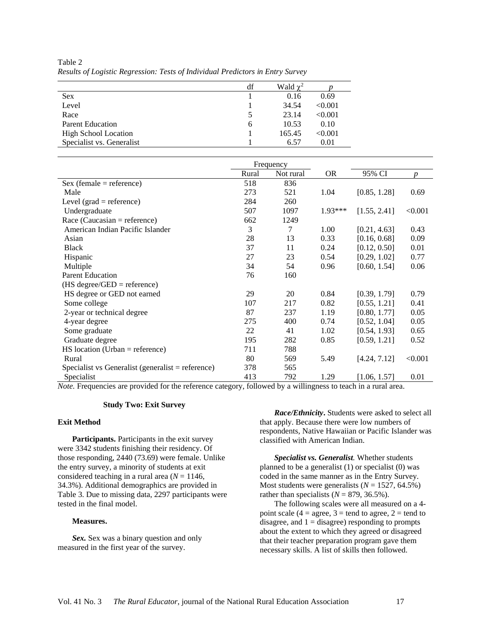|                             | df | Wald $\chi^2$ |         |
|-----------------------------|----|---------------|---------|
| <b>Sex</b>                  |    | 0.16          | 0.69    |
| Level                       |    | 34.54         | < 0.001 |
| Race                        |    | 23.14         | < 0.001 |
| <b>Parent Education</b>     | h  | 10.53         | 0.10    |
| <b>High School Location</b> |    | 165.45        | < 0.001 |
| Specialist vs. Generalist   |    | 6.57          | 0.01    |

Table 2 *Results of Logistic Regression: Tests of Individual Predictors in Entry Survey*

|                                                   | Frequency |           |           |              |                  |
|---------------------------------------------------|-----------|-----------|-----------|--------------|------------------|
|                                                   | Rural     | Not rural | <b>OR</b> | 95% CI       | $\boldsymbol{D}$ |
| $Sex (female = reference)$                        | 518       | 836       |           |              |                  |
| Male                                              | 273       | 521       | 1.04      | [0.85, 1.28] | 0.69             |
| Level (grad = reference)                          | 284       | 260       |           |              |                  |
| Undergraduate                                     | 507       | 1097      | $1.93***$ | [1.55, 2.41] | < 0.001          |
| Race (Caucasian = reference)                      | 662       | 1249      |           |              |                  |
| American Indian Pacific Islander                  | 3         | 7         | 1.00      | [0.21, 4.63] | 0.43             |
| Asian                                             | 28        | 13        | 0.33      | [0.16, 0.68] | 0.09             |
| <b>Black</b>                                      | 37        | 11        | 0.24      | [0.12, 0.50] | 0.01             |
| Hispanic                                          | 27        | 23        | 0.54      | [0.29, 1.02] | 0.77             |
| Multiple                                          | 34        | 54        | 0.96      | [0.60, 1.54] | 0.06             |
| <b>Parent Education</b>                           | 76        | 160       |           |              |                  |
| $(HS \text{ degree/GED} = \text{reference})$      |           |           |           |              |                  |
| HS degree or GED not earned                       | 29        | 20        | 0.84      | [0.39, 1.79] | 0.79             |
| Some college                                      | 107       | 217       | 0.82      | [0.55, 1.21] | 0.41             |
| 2-year or technical degree                        | 87        | 237       | 1.19      | [0.80, 1.77] | 0.05             |
| 4-year degree                                     | 275       | 400       | 0.74      | [0.52, 1.04] | 0.05             |
| Some graduate                                     | 22        | 41        | 1.02      | [0.54, 1.93] | 0.65             |
| Graduate degree                                   | 195       | 282       | 0.85      | [0.59, 1.21] | 0.52             |
| $HS$ location (Urban = reference)                 | 711       | 788       |           |              |                  |
| Rural                                             | 80        | 569       | 5.49      | [4.24, 7.12] | < 0.001          |
| Specialist vs Generalist (generalist = reference) | 378       | 565       |           |              |                  |
| Specialist                                        | 413       | 792       | 1.29      | [1.06, 1.57] | 0.01             |

*Note.* Frequencies are provided for the reference category, followed by a willingness to teach in a rural area.

#### **Study Two: Exit Survey**

#### **Exit Method**

**Participants.** Participants in the exit survey were 3342 students finishing their residency. Of those responding, 2440 (73.69) were female. Unlike the entry survey, a minority of students at exit considered teaching in a rural area  $(N = 1146,$ 34.3%). Additional demographics are provided in Table 3. Due to missing data, 2297 participants were tested in the final model.

#### **Measures.**

*Sex.* Sex was a binary question and only measured in the first year of the survey.

*Race/Ethnicity***.** Students were asked to select all that apply. Because there were low numbers of respondents, Native Hawaiian or Pacific Islander was classified with American Indian.

*Specialist vs. Generalist.* Whether students planned to be a generalist (1) or specialist (0) was coded in the same manner as in the Entry Survey. Most students were generalists  $(N = 1527, 64.5\%)$ rather than specialists  $(N = 879, 36.5\%)$ .

The following scales were all measured on a 4 point scale (4 = agree, 3 = tend to agree, 2 = tend to disagree, and  $1 =$  disagree) responding to prompts about the extent to which they agreed or disagreed that their teacher preparation program gave them necessary skills. A list of skills then followed.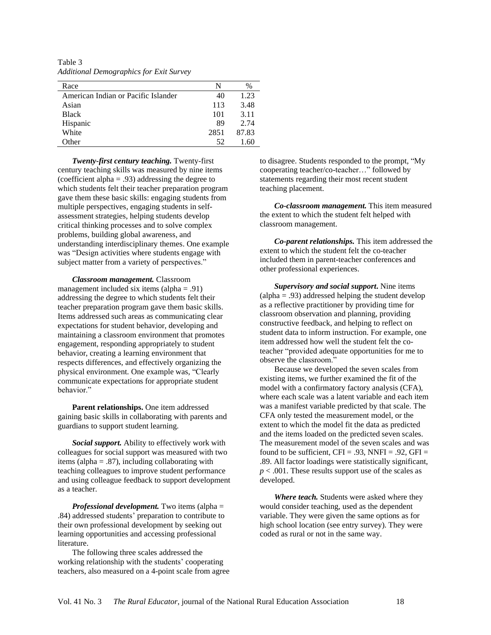Table 3 *Additional Demographics for Exit Survey*

| Race                                | N    | $\%$  |
|-------------------------------------|------|-------|
| American Indian or Pacific Islander | 40   | 1.23  |
| Asian                               | 113  | 3.48  |
| <b>Black</b>                        | 101  | 3.11  |
| Hispanic                            | 89   | 2.74  |
| White                               | 2851 | 87.83 |
| bther.                              | 52   |       |

*Twenty-first century teaching.* Twenty-first century teaching skills was measured by nine items (coefficient alpha  $= .93$ ) addressing the degree to which students felt their teacher preparation program gave them these basic skills: engaging students from multiple perspectives, engaging students in selfassessment strategies, helping students develop critical thinking processes and to solve complex problems, building global awareness, and understanding interdisciplinary themes. One example was "Design activities where students engage with subject matter from a variety of perspectives."

*Classroom management.* Classroom management included six items (alpha  $= .91$ ) addressing the degree to which students felt their teacher preparation program gave them basic skills. Items addressed such areas as communicating clear expectations for student behavior, developing and maintaining a classroom environment that promotes engagement, responding appropriately to student behavior, creating a learning environment that respects differences, and effectively organizing the physical environment. One example was, "Clearly communicate expectations for appropriate student behavior."

**Parent relationships.** One item addressed gaining basic skills in collaborating with parents and guardians to support student learning.

*Social support.* Ability to effectively work with colleagues for social support was measured with two items (alpha  $=$  .87), including collaborating with teaching colleagues to improve student performance and using colleague feedback to support development as a teacher.

*Professional development.* Two items (alpha = .84) addressed students' preparation to contribute to their own professional development by seeking out learning opportunities and accessing professional literature.

The following three scales addressed the working relationship with the students' cooperating teachers, also measured on a 4-point scale from agree to disagree. Students responded to the prompt, "My cooperating teacher/co-teacher…" followed by statements regarding their most recent student teaching placement.

*Co-classroom management.* This item measured the extent to which the student felt helped with classroom management.

*Co-parent relationships.* This item addressed the extent to which the student felt the co-teacher included them in parent-teacher conferences and other professional experiences.

*Supervisory and social support***.** Nine items  $\alpha$  (alpha = .93) addressed helping the student develop as a reflective practitioner by providing time for classroom observation and planning, providing constructive feedback, and helping to reflect on student data to inform instruction. For example, one item addressed how well the student felt the coteacher "provided adequate opportunities for me to observe the classroom."

Because we developed the seven scales from existing items, we further examined the fit of the model with a confirmatory factory analysis (CFA), where each scale was a latent variable and each item was a manifest variable predicted by that scale. The CFA only tested the measurement model, or the extent to which the model fit the data as predicted and the items loaded on the predicted seven scales. The measurement model of the seven scales and was found to be sufficient,  $CFI = .93$ ,  $NNFI = .92$ ,  $GFI =$ .89. All factor loadings were statistically significant, *p* < .001. These results support use of the scales as developed.

*Where teach.* Students were asked where they would consider teaching, used as the dependent variable. They were given the same options as for high school location (see entry survey). They were coded as rural or not in the same way.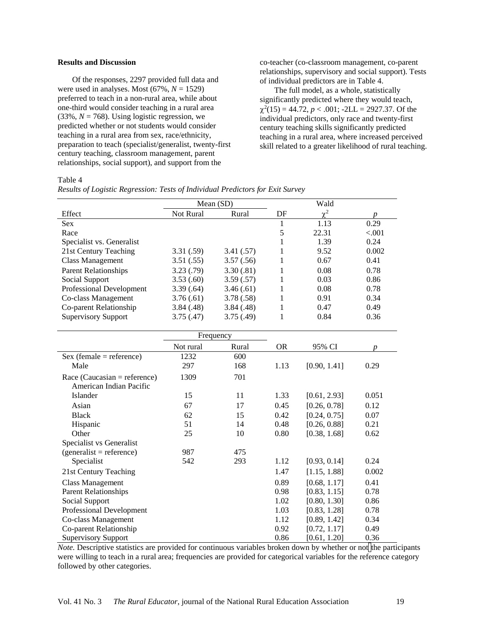#### **Results and Discussion**

Of the responses, 2297 provided full data and were used in analyses. Most  $(67\%, N = 1529)$ preferred to teach in a non-rural area, while about one-third would consider teaching in a rural area  $(33\%, N = 768)$ . Using logistic regression, we predicted whether or not students would consider teaching in a rural area from sex, race/ethnicity, preparation to teach (specialist/generalist, twenty-first century teaching, classroom management, parent relationships, social support), and support from the

co-teacher (co-classroom management, co-parent relationships, supervisory and social support). Tests of individual predictors are in Table 4.

The full model, as a whole, statistically significantly predicted where they would teach,  $\chi^2(15) = 44.72$ ,  $p < .001$ ;  $-2LL = 2927.37$ . Of the individual predictors, only race and twenty-first century teaching skills significantly predicted teaching in a rural area, where increased perceived skill related to a greater likelihood of rural teaching.

#### Table 4

|  | Results of Logistic Regression: Tests of Individual Predictors for Exit Survey |  |  |  |
|--|--------------------------------------------------------------------------------|--|--|--|
|  |                                                                                |  |  |  |

|                              | Mean (SD) |           |           | Wald         |                  |
|------------------------------|-----------|-----------|-----------|--------------|------------------|
| Effect                       | Not Rural | Rural     | DF        | $\chi^2$     | $\boldsymbol{p}$ |
| Sex                          |           |           | 1         | 1.13         | 0.29             |
| Race                         |           |           | 5         | 22.31        | < .001           |
| Specialist vs. Generalist    |           |           | 1         | 1.39         | 0.24             |
| 21st Century Teaching        | 3.31(.59) | 3.41(.57) | 1         | 9.52         | 0.002            |
| <b>Class Management</b>      | 3.51(.55) | 3.57(.56) | 1         | 0.67         | 0.41             |
| <b>Parent Relationships</b>  | 3.23(.79) | 3.30(.81) | 1         | 0.08         | 0.78             |
| Social Support               | 3.53(.60) | 3.59(.57) | 1         | 0.03         | 0.86             |
| Professional Development     | 3.39(.64) | 3.46(.61) | 1         | 0.08         | 0.78             |
| Co-class Management          | 3.76(.61) | 3.78(.58) | 1         | 0.91         | 0.34             |
| Co-parent Relationship       | 3.84(.48) | 3.84(.48) | 1         | 0.47         | 0.49             |
| <b>Supervisory Support</b>   | 3.75(.47) | 3.75(.49) | 1         | 0.84         | 0.36             |
|                              |           |           |           |              |                  |
|                              |           | Frequency |           |              |                  |
|                              | Not rural | Rural     | <b>OR</b> | 95% CI       | $\boldsymbol{p}$ |
| $Sex (female = reference)$   | 1232      | 600       |           |              |                  |
| Male                         | 297       | 168       | 1.13      | [0.90, 1.41] | 0.29             |
| Race (Caucasian = reference) | 1309      | 701       |           |              |                  |
| American Indian Pacific      |           |           |           |              |                  |
| Islander                     | 15        | 11        | 1.33      | [0.61, 2.93] | 0.051            |
| Asian                        | 67        | 17        | 0.45      | [0.26, 0.78] | 0.12             |
| <b>Black</b>                 | 62        | 15        | 0.42      | [0.24, 0.75] | 0.07             |
| Hispanic                     | 51        | 14        | 0.48      | [0.26, 0.88] | 0.21             |
| Other                        | 25        | 10        | 0.80      | [0.38, 1.68] | 0.62             |
| Specialist vs Generalist     |           |           |           |              |                  |
| $(generalist = reference)$   | 987       | 475       |           |              |                  |
| Specialist                   | 542       | 293       | 1.12      | [0.93, 0.14] | 0.24             |
| 21st Century Teaching        |           |           | 1.47      | [1.15, 1.88] | 0.002            |
| <b>Class Management</b>      |           |           | 0.89      | [0.68, 1.17] | 0.41             |
| <b>Parent Relationships</b>  |           |           | 0.98      | [0.83, 1.15] | 0.78             |
| Social Support               |           |           | 1.02      | [0.80, 1.30] | 0.86             |
| Professional Development     |           |           | 1.03      | [0.83, 1.28] | 0.78             |
| Co-class Management          |           |           | 1.12      | [0.89, 1.42] | 0.34             |
| Co-parent Relationship       |           |           | 0.92      | [0.72, 1.17] | 0.49             |
| <b>Supervisory Support</b>   |           |           | 0.86      | [0.61, 1.20] | 0.36             |

*Note.* Descriptive statistics are provided for continuous variables broken down by whether or not the participants were willing to teach in a rural area; frequencies are provided for categorical variables for the reference category followed by other categories.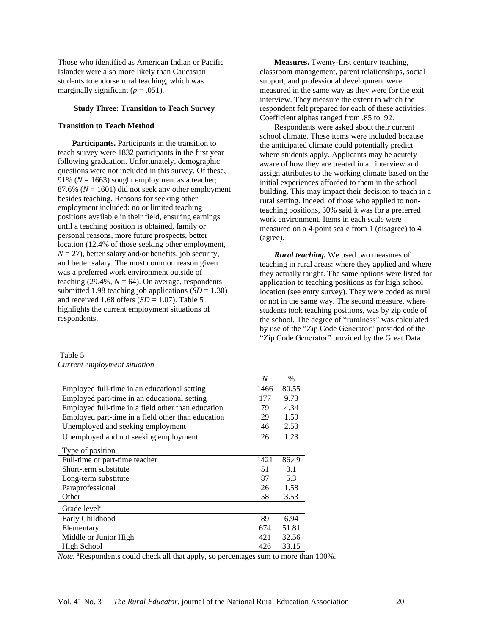Those who identified as American Indian or Pacific Islander were also more likely than Caucasian students to endorse rural teaching, which was marginally significant  $(p = .051)$ .

#### **Study Three: Transition to Teach Survey**

#### **Transition to Teach Method**

**Participants.** Participants in the transition to teach survey were 1832 participants in the first year following graduation. Unfortunately, demographic questions were not included in this survey. Of these, 91% ( $N = 1663$ ) sought employment as a teacher; 87.6% ( $N = 1601$ ) did not seek any other employment besides teaching. Reasons for seeking other employment included: no or limited teaching positions available in their field, ensuring earnings until a teaching position is obtained, family or personal reasons, more future prospects, better location (12.4% of those seeking other employment,  $N = 27$ ), better salary and/or benefits, job security, and better salary. The most common reason given was a preferred work environment outside of teaching  $(29.4\%, N = 64)$ . On average, respondents submitted 1.98 teaching job applications  $(SD = 1.30)$ and received 1.68 offers  $(SD = 1.07)$ . Table 5 highlights the current employment situations of respondents.

**Measures.** Twenty-first century teaching, classroom management, parent relationships, social support, and professional development were measured in the same way as they were for the exit interview. They measure the extent to which the respondent felt prepared for each of these activities. Coefficient alphas ranged from .85 to .92.

Respondents were asked about their current school climate. These items were included because the anticipated climate could potentially predict where students apply. Applicants may be acutely aware of how they are treated in an interview and assign attributes to the working climate based on the initial experiences afforded to them in the school building. This may impact their decision to teach in a rural setting. Indeed, of those who applied to nonteaching positions, 30% said it was for a preferred work environment. Items in each scale were measured on a 4-point scale from 1 (disagree) to 4 (agree).

*Rural teaching.* We used two measures of teaching in rural areas: where they applied and where they actually taught. The same options were listed for application to teaching positions as for high school location (see entry survey). They were coded as rural or not in the same way. The second measure, where students took teaching positions, was by zip code of the school. The degree of "ruralness" was calculated by use of the "Zip Code Generator" provided of the "Zip Code Generator" provided by the Great Data

| Table 5 |                              |  |
|---------|------------------------------|--|
|         | Current employment situation |  |

|                                                    | N    | $\%$  |
|----------------------------------------------------|------|-------|
| Employed full-time in an educational setting       | 1466 | 80.55 |
| Employed part-time in an educational setting       | 177  | 9.73  |
| Employed full-time in a field other than education | 79   | 4.34  |
| Employed part-time in a field other than education | 29   | 1.59  |
| Unemployed and seeking employment                  | 46   | 2.53  |
| Unemployed and not seeking employment              | 26   | 1.23  |
| Type of position                                   |      |       |
| Full-time or part-time teacher                     | 1421 | 86.49 |
| Short-term substitute                              | 51   | 3.1   |
| Long-term substitute                               | 87   | 5.3   |
| Paraprofessional                                   | 26   | 1.58  |
| Other                                              | 58   | 3.53  |
| Grade level <sup>a</sup>                           |      |       |
| Early Childhood                                    | 89   | 6.94  |
| Elementary                                         | 674  | 51.81 |
| Middle or Junior High                              | 421  | 32.56 |
| High School                                        | 426  | 33.15 |

*Note.* <sup>a</sup>Respondents could check all that apply, so percentages sum to more than 100%.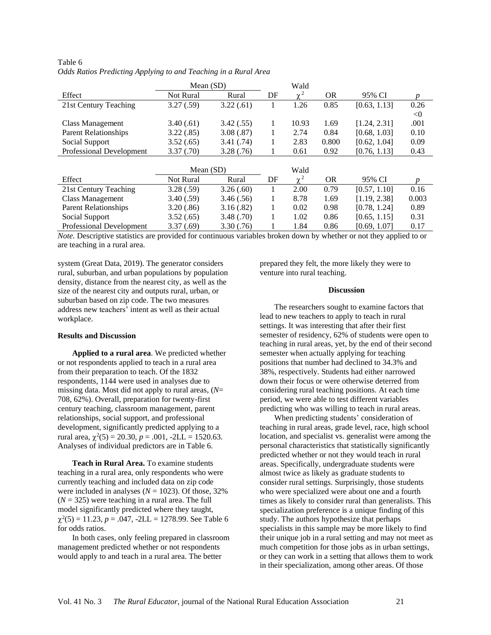|                             | Mean $(SD)$      |           |    | Wald       |           |              |              |
|-----------------------------|------------------|-----------|----|------------|-----------|--------------|--------------|
| Effect                      | Not Rural        | Rural     | DF | $\sim$ 2   | <b>OR</b> | 95% CI       | <sub>n</sub> |
| 21st Century Teaching       | 3.27(.59)        | 3.22(.61) |    | 1.26       | 0.85      | [0.63, 1.13] | 0.26         |
|                             |                  |           |    |            |           |              | < 0          |
| Class Management            | 3.40(.61)        | 3.42(.55) |    | 10.93      | 1.69      | [1.24, 2.31] | .001         |
| <b>Parent Relationships</b> | 3.22(.85)        | 3.08(.87) |    | 2.74       | 0.84      | [0.68, 1.03] | 0.10         |
| Social Support              | 3.52(.65)        | 3.41(.74) | п. | 2.83       | 0.800     | [0.62, 1.04] | 0.09         |
| Professional Development    | 3.37(.70)        | 3.28(.76) |    | 0.61       | 0.92      | [0.76, 1.13] | 0.43         |
|                             |                  |           |    |            |           |              |              |
|                             | Mean $(SD)$      |           |    | Wald       |           |              |              |
|                             |                  |           |    |            |           |              |              |
| Effect                      | <b>Not Rural</b> | Rural     | DF | $\gamma^2$ | <b>OR</b> | 95% CI       | p.           |
| 21st Century Teaching       | 3.28(.59)        | 3.26(.60) |    | 2.00       | 0.79      | [0.57, 1.10] | 0.16         |
| <b>Class Management</b>     | 3.40(.59)        | 3.46(.56) |    | 8.78       | 1.69      | [1.19, 2.38] | 0.003        |
| <b>Parent Relationships</b> | 3.20(.86)        | 3.16(.82) |    | 0.02       | 0.98      | [0.78, 1.24] | 0.89         |
| Social Support              | 3.52(.65)        | 3.48(.70) |    | 1.02       | 0.86      | [0.65, 1.15] | 0.31         |

| Table 6                                                         |  |
|-----------------------------------------------------------------|--|
| Odds Ratios Predicting Applying to and Teaching in a Rural Area |  |

*Note.* Descriptive statistics are provided for continuous variables broken down by whether or not they applied to or are teaching in a rural area.

system (Great Data, 2019). The generator considers rural, suburban, and urban populations by population density, distance from the nearest city, as well as the size of the nearest city and outputs rural, urban, or suburban based on zip code. The two measures address new teachers' intent as well as their actual workplace.

#### **Results and Discussion**

**Applied to a rural area**. We predicted whether or not respondents applied to teach in a rural area from their preparation to teach. Of the 1832 respondents, 1144 were used in analyses due to missing data. Most did not apply to rural areas, (*N*= 708, 62%). Overall, preparation for twenty-first century teaching, classroom management, parent relationships, social support, and professional development, significantly predicted applying to a rural area,  $\chi^2(5) = 20.30$ ,  $p = .001$ ,  $-2LL = 1520.63$ . Analyses of individual predictors are in Table 6.

**Teach in Rural Area.** To examine students teaching in a rural area, only respondents who were currently teaching and included data on zip code were included in analyses ( $N = 1023$ ). Of those, 32%  $(N = 325)$  were teaching in a rural area. The full model significantly predicted where they taught,  $\chi^2(5) = 11.23, p = .047, -2LL = 1278.99$ . See Table 6 for odds ratios.

In both cases, only feeling prepared in classroom management predicted whether or not respondents would apply to and teach in a rural area. The better

prepared they felt, the more likely they were to venture into rural teaching.

#### **Discussion**

The researchers sought to examine factors that lead to new teachers to apply to teach in rural settings. It was interesting that after their first semester of residency, 62% of students were open to teaching in rural areas, yet, by the end of their second semester when actually applying for teaching positions that number had declined to 34.3% and 38%, respectively. Students had either narrowed down their focus or were otherwise deterred from considering rural teaching positions. At each time period, we were able to test different variables predicting who was willing to teach in rural areas.

When predicting students' consideration of teaching in rural areas, grade level, race, high school location, and specialist vs. generalist were among the personal characteristics that statistically significantly predicted whether or not they would teach in rural areas. Specifically, undergraduate students were almost twice as likely as graduate students to consider rural settings. Surprisingly, those students who were specialized were about one and a fourth times as likely to consider rural than generalists. This specialization preference is a unique finding of this study. The authors hypothesize that perhaps specialists in this sample may be more likely to find their unique job in a rural setting and may not meet as much competition for those jobs as in urban settings, or they can work in a setting that allows them to work in their specialization, among other areas. Of those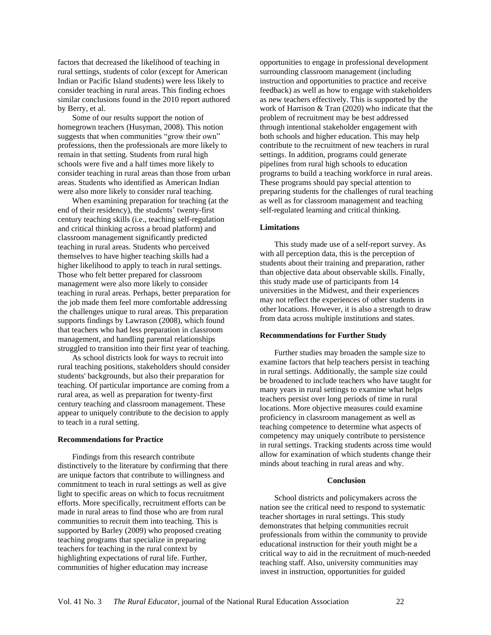factors that decreased the likelihood of teaching in rural settings, students of color (except for American Indian or Pacific Island students) were less likely to consider teaching in rural areas. This finding echoes similar conclusions found in the 2010 report authored by Berry, et al.

Some of our results support the notion of homegrown teachers (Husyman, 2008). This notion suggests that when communities "grow their own" professions, then the professionals are more likely to remain in that setting. Students from rural high schools were five and a half times more likely to consider teaching in rural areas than those from urban areas. Students who identified as American Indian were also more likely to consider rural teaching.

When examining preparation for teaching (at the end of their residency), the students' twenty-first century teaching skills (i.e., teaching self-regulation and critical thinking across a broad platform) and classroom management significantly predicted teaching in rural areas. Students who perceived themselves to have higher teaching skills had a higher likelihood to apply to teach in rural settings. Those who felt better prepared for classroom management were also more likely to consider teaching in rural areas. Perhaps, better preparation for the job made them feel more comfortable addressing the challenges unique to rural areas. This preparation supports findings by Lawrason (2008), which found that teachers who had less preparation in classroom management, and handling parental relationships struggled to transition into their first year of teaching.

As school districts look for ways to recruit into rural teaching positions, stakeholders should consider students' backgrounds, but also their preparation for teaching. Of particular importance are coming from a rural area, as well as preparation for twenty-first century teaching and classroom management. These appear to uniquely contribute to the decision to apply to teach in a rural setting.

#### **Recommendations for Practice**

Findings from this research contribute distinctively to the literature by confirming that there are unique factors that contribute to willingness and commitment to teach in rural settings as well as give light to specific areas on which to focus recruitment efforts. More specifically, recruitment efforts can be made in rural areas to find those who are from rural communities to recruit them into teaching. This is supported by Barley (2009) who proposed creating teaching programs that specialize in preparing teachers for teaching in the rural context by highlighting expectations of rural life. Further, communities of higher education may increase

opportunities to engage in professional development surrounding classroom management (including instruction and opportunities to practice and receive feedback) as well as how to engage with stakeholders as new teachers effectively. This is supported by the work of Harrison & Tran (2020) who indicate that the problem of recruitment may be best addressed through intentional stakeholder engagement with both schools and higher education. This may help contribute to the recruitment of new teachers in rural settings. In addition, programs could generate pipelines from rural high schools to education programs to build a teaching workforce in rural areas. These programs should pay special attention to preparing students for the challenges of rural teaching as well as for classroom management and teaching self-regulated learning and critical thinking.

#### **Limitations**

This study made use of a self-report survey. As with all perception data, this is the perception of students about their training and preparation, rather than objective data about observable skills. Finally, this study made use of participants from 14 universities in the Midwest, and their experiences may not reflect the experiences of other students in other locations. However, it is also a strength to draw from data across multiple institutions and states.

#### **Recommendations for Further Study**

Further studies may broaden the sample size to examine factors that help teachers persist in teaching in rural settings. Additionally, the sample size could be broadened to include teachers who have taught for many years in rural settings to examine what helps teachers persist over long periods of time in rural locations. More objective measures could examine proficiency in classroom management as well as teaching competence to determine what aspects of competency may uniquely contribute to persistence in rural settings. Tracking students across time would allow for examination of which students change their minds about teaching in rural areas and why.

#### **Conclusion**

School districts and policymakers across the nation see the critical need to respond to systematic teacher shortages in rural settings. This study demonstrates that helping communities recruit professionals from within the community to provide educational instruction for their youth might be a critical way to aid in the recruitment of much-needed teaching staff. Also, university communities may invest in instruction, opportunities for guided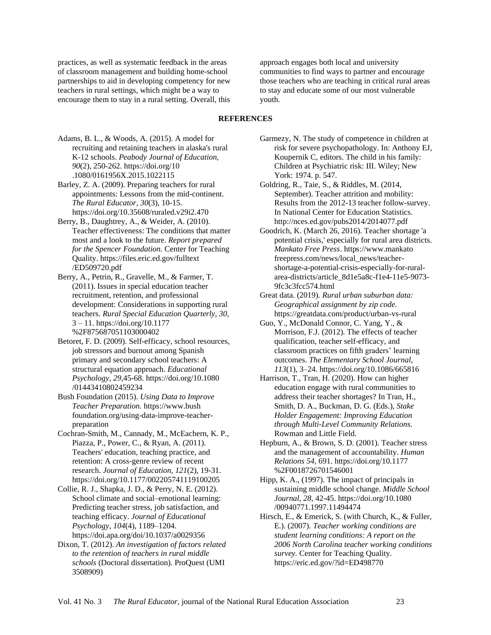practices, as well as systematic feedback in the areas of classroom management and building home-school partnerships to aid in developing competency for new teachers in rural settings, which might be a way to encourage them to stay in a rural setting. Overall, this

approach engages both local and university communities to find ways to partner and encourage those teachers who are teaching in critical rural areas to stay and educate some of our most vulnerable youth.

### **REFERENCES**

- Adams, B. L., & Woods, A. (2015). A model for recruiting and retaining teachers in alaska's rural K-12 schools. *Peabody Journal of Education, 90*(2), 250-262. https://doi.org/10 .1080/0161956X.2015.1022115
- Barley, Z. A. (2009). Preparing teachers for rural appointments: Lessons from the mid-continent. *The Rural Educator, 30*(3), 10-15. https://doi.org/10.35608/ruraled.v29i2.470
- Berry, B., Daughtrey, A., & Weider, A. (2010). Teacher effectiveness: The conditions that matter most and a look to the future. *Report prepared for the Spencer Foundation.* Center for Teaching Quality. https://files.eric.ed.gov/fulltext /ED509720.pdf
- Berry, A., Petrin, R., Gravelle, M., & Farmer, T. (2011). Issues in special education teacher recruitment, retention, and professional development: Considerations in supporting rural teachers. *Rural Special Education Quarterly, 30,* 3 – 11. https://doi.org/10.1177 %2F875687051103000402
- Betoret, F. D. (2009). Self-efficacy, school resources, job stressors and burnout among Spanish primary and secondary school teachers: A structural equation approach. *Educational Psychology, 29,*45-68. https://doi.org/10.1080 /01443410802459234
- Bush Foundation (2015). *Using Data to Improve Teacher Preparation.* https://www.bush foundation.org/using-data-improve-teacherpreparation
- Cochran-Smith, M., Cannady, M., McEachern, K. P., Piazza, P., Power, C., & Ryan, A. (2011). Teachers' education, teaching practice, and retention: A cross-genre review of recent research. *Journal of Education, 121*(2), 19-31. https://doi.org/10.1177/002205741119100205
- Collie, R. J., Shapka, J. D., & Perry, N. E. (2012). School climate and social–emotional learning: Predicting teacher stress, job satisfaction, and teaching efficacy. *Journal of Educational Psychology, 104*(4), 1189–1204. https://doi.apa.org/doi/10.1037/a0029356
- Dixon, T. (2012). *An investigation of factors related to the retention of teachers in rural middle schools* (Doctoral dissertation). ProQuest (UMI 3508909)
- Garmezy, N. The study of competence in children at risk for severe psychopathology. In: Anthony EJ, Koupernik C, editors. The child in his family: Children at Psychiatric risk: III. Wiley; New York: 1974. p. 547.
- Goldring, R., Taie, S., & Riddles, M. (2014, September). Teacher attrition and mobility: Results from the 2012-13 teacher follow-survey. In National Center for Education Statistics. http://nces.ed.gov/pubs2014/2014077.pdf
- Goodrich, K. (March 26, 2016). Teacher shortage 'a potential crisis,' especially for rural area districts. *Mankato Free Press*. https://www.mankato freepress.com/news/local\_news/teachershortage-a-potential-crisis-especially-for-ruralarea-districts/article\_8d1e5a8c-f1e4-11e5-9073- 9fc3c3fcc574.html
- Great data. (2019). *Rural urban suburban data: Geographical assignment by zip code.* https://greatdata.com/product/urban-vs-rural
- Guo, Y., McDonald Connor, C. Yang, Y., & Morrison, F.J. (2012). The effects of teacher qualification, teacher self-efficacy, and classroom practices on fifth graders' learning outcomes. *The Elementary School Journal, 113*(1), 3–24. https://doi.org/10.1086/665816
- Harrison, T., Tran, H. (2020). How can higher education engage with rural communities to address their teacher shortages? In Tran, H., Smith, D. A., Buckman, D. G. (Eds.), *Stake Holder Engagement: Improving Education through Multi-Level Community Relations.* Rowman and Little Field.
- Hepburn, A., & Brown, S. D. (2001). Teacher stress and the management of accountability. *Human Relations 54,* 691. https://doi.org/10.1177 %2F0018726701546001
- Hipp, K. A., (1997). The impact of principals in sustaining middle school change. *Middle School Journal, 28,* 42-45. https://doi.org/10.1080 /00940771.1997.11494474
- Hirsch, E., & Emerick, S. (with Church, K., & Fuller, E.). (2007). *Teacher working conditions are student learning conditions: A report on the 2006 North Carolina teacher working conditions survey.* Center for Teaching Quality. https://eric.ed.gov/?id=ED498770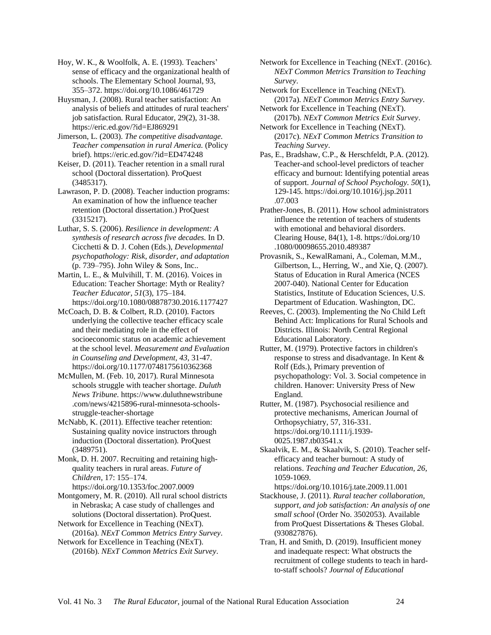Hoy, W. K., & Woolfolk, A. E. (1993). Teachers' sense of efficacy and the organizational health of schools. The Elementary School Journal, 93, 355–372. https://doi.org/10.1086/461729

Huysman, J. (2008). Rural teacher satisfaction: An analysis of beliefs and attitudes of rural teachers' job satisfaction. Rural Educator, 29(2), 31-38. https://eric.ed.gov/?id=EJ869291

Jimerson, L. (2003). *The competitive disadvantage. Teacher compensation in rural America.* (Policy brief). https://eric.ed.gov/?id=ED474248

Keiser, D. (2011). Teacher retention in a small rural school (Doctoral dissertation). ProQuest (3485317).

Lawrason, P. D. (2008). Teacher induction programs: An examination of how the influence teacher retention (Doctoral dissertation.) ProQuest (3315217).

Luthar, S. S. (2006). *Resilience in development: A synthesis of research across five decades.* In D. Cicchetti & D. J. Cohen (Eds.), *Developmental psychopathology: Risk, disorder, and adaptation* (p. 739–795). John Wiley & Sons, Inc..

Martin, L. E., & Mulvihill, T. M. (2016). Voices in Education: Teacher Shortage: Myth or Reality? *Teacher Educator*, *51*(3), 175–184. https://doi.org/10.1080/08878730.2016.1177427

McCoach, D. B. & Colbert, R.D. (2010). Factors underlying the collective teacher efficacy scale and their mediating role in the effect of socioeconomic status on academic achievement at the school level. *Measurement and Evaluation in Counseling and Development, 43,* 31-47. https://doi.org/10.1177/0748175610362368

McMullen, M. (Feb. 10, 2017). Rural Minnesota schools struggle with teacher shortage. *Duluth News Tribune.* https://www.duluthnewstribune .com/news/4215896-rural-minnesota-schoolsstruggle-teacher-shortage

McNabb, K. (2011). Effective teacher retention: Sustaining quality novice instructors through induction (Doctoral dissertation). ProQuest (3489751).

Monk, D. H. 2007. Recruiting and retaining highquality teachers in rural areas. *Future of Children*, 17: 155–174. https://doi.org/10.1353/foc.2007.0009

Montgomery, M. R. (2010). All rural school districts in Nebraska; A case study of challenges and solutions (Doctoral dissertation). ProQuest.

Network for Excellence in Teaching (NExT). (2016a). *NExT Common Metrics Entry Survey*.

Network for Excellence in Teaching (NExT). (2016b). *NExT Common Metrics Exit Survey*. Network for Excellence in Teaching (NExT. (2016c). *NExT Common Metrics Transition to Teaching Survey*.

Network for Excellence in Teaching (NExT). (2017a). *NExT Common Metrics Entry Survey*.

Network for Excellence in Teaching (NExT). (2017b). *NExT Common Metrics Exit Survey*.

Network for Excellence in Teaching (NExT). (2017c). *NExT Common Metrics Transition to Teaching Survey*.

Pas, E., Bradshaw, C.P., & Herschfeldt, P.A. (2012). Teacher-and school-level predictors of teacher efficacy and burnout: Identifying potential areas of support. *Journal of School Psychology. 50*(1), 129-145. https://doi.org/10.1016/j.jsp.2011 .07.003

Prather-Jones, B. (2011). How school administrators influence the retention of teachers of students with emotional and behavioral disorders. Clearing House, 84(1), 1-8. https://doi.org/10 .1080/00098655.2010.489387

Provasnik, S., KewalRamani, A., Coleman, M.M., Gilbertson, L., Herring, W., and Xie, Q. (2007). Status of Education in Rural America (NCES 2007-040). National Center for Education Statistics, Institute of Education Sciences, U.S. Department of Education. Washington, DC.

Reeves, C. (2003). Implementing the No Child Left Behind Act: Implications for Rural Schools and Districts. Illinois: North Central Regional Educational Laboratory.

Rutter, M. (1979). Protective factors in children's response to stress and disadvantage. In Kent & Rolf (Eds.), Primary prevention of psychopathology: Vol. 3. Social competence in children. Hanover: University Press of New England.

Rutter, M. (1987). Psychosocial resilience and protective mechanisms, American Journal of Orthopsychiatry, 57, 316-331. https://doi.org/10.1111/j.1939- 0025.1987.tb03541.x

Skaalvik, E. M., & Skaalvik, S. (2010). Teacher selfefficacy and teacher burnout: A study of relations. *Teaching and Teacher Education, 26,* 1059-1069.

https://doi.org/10.1016/j.tate.2009.11.001

Stackhouse, J. (2011). *Rural teacher collaboration, support, and job satisfaction: An analysis of one small school* (Order No. 3502053). Available from ProQuest Dissertations & Theses Global. (930827876).

Tran, H. and Smith, D. (2019). Insufficient money and inadequate respect: What obstructs the recruitment of college students to teach in hardto-staff schools? *Journal of Educational*